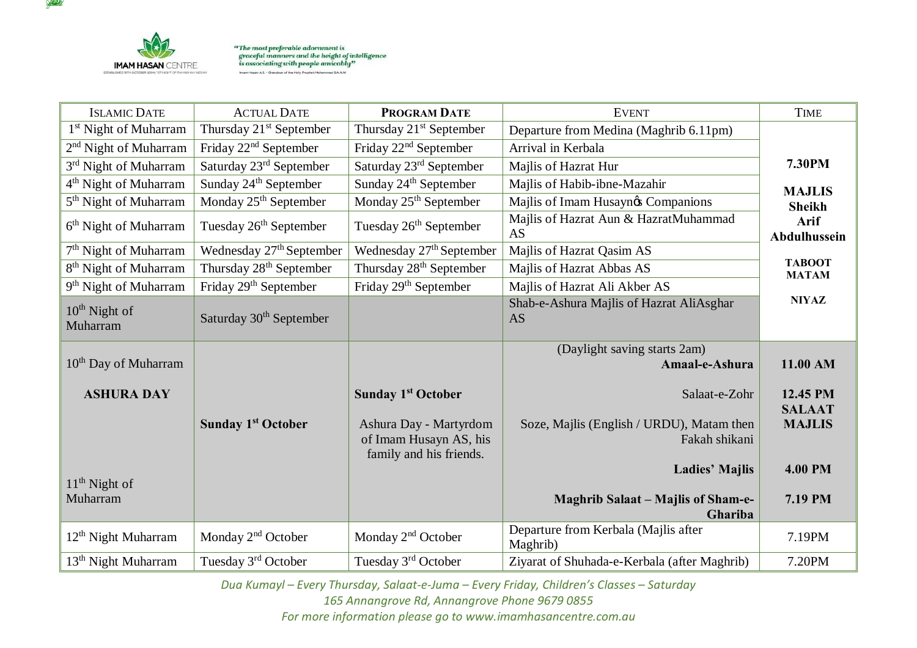

**YAKEA** 

"The most preferable adornment is<br>graceful manners and the height of intelligence<br>is associating with people amicably" Imam Hasan A.S. - Grandson of the Holy Prophet Muhammed S.A.A.W

| <b>ISLAMIC DATE</b>               | <b>ACTUAL DATE</b>                   | <b>PROGRAM DATE</b>                                                         | <b>EVENT</b>                                               | <b>TIME</b>                   |
|-----------------------------------|--------------------------------------|-----------------------------------------------------------------------------|------------------------------------------------------------|-------------------------------|
| 1 <sup>st</sup> Night of Muharram | Thursday 21 <sup>st</sup> September  | Thursday 21 <sup>st</sup> September                                         | Departure from Medina (Maghrib 6.11pm)                     |                               |
| 2 <sup>nd</sup> Night of Muharram | Friday 22 <sup>nd</sup> September    | Friday 22 <sup>nd</sup> September                                           | Arrival in Kerbala                                         |                               |
| 3 <sup>rd</sup> Night of Muharram | Saturday 23 <sup>rd</sup> September  | Saturday 23rd September                                                     | Majlis of Hazrat Hur                                       | 7.30PM                        |
| 4 <sup>th</sup> Night of Muharram | Sunday 24 <sup>th</sup> September    | Sunday 24 <sup>th</sup> September                                           | Majlis of Habib-ibne-Mazahir                               | <b>MAJLIS</b>                 |
| 5 <sup>th</sup> Night of Muharram | Monday 25 <sup>th</sup> September    | Monday 25 <sup>th</sup> September                                           | Majlis of Imam Husaynøs Companions                         | <b>Sheikh</b>                 |
| 6 <sup>th</sup> Night of Muharram | Tuesday 26 <sup>th</sup> September   | Tuesday 26 <sup>th</sup> September                                          | Majlis of Hazrat Aun & HazratMuhammad<br>AS                | Arif<br><b>Abdulhussein</b>   |
| 7 <sup>th</sup> Night of Muharram | Wednesday 27 <sup>th</sup> September | Wednesday 27 <sup>th</sup> September                                        | Majlis of Hazrat Qasim AS                                  |                               |
| 8 <sup>th</sup> Night of Muharram | Thursday 28 <sup>th</sup> September  | Thursday 28 <sup>th</sup> September                                         | Majlis of Hazrat Abbas AS                                  | <b>TABOOT</b><br><b>MATAM</b> |
| 9 <sup>th</sup> Night of Muharram | Friday 29 <sup>th</sup> September    | Friday 29 <sup>th</sup> September                                           | Majlis of Hazrat Ali Akber AS                              |                               |
| $10^{th}$ Night of<br>Muharram    | Saturday 30 <sup>th</sup> September  |                                                                             | Shab-e-Ashura Majlis of Hazrat AliAsghar<br><b>AS</b>      | <b>NIYAZ</b>                  |
| $10th$ Day of Muharram            |                                      |                                                                             | (Daylight saving starts 2am)<br>Amaal-e-Ashura             | 11.00 AM                      |
| <b>ASHURA DAY</b>                 |                                      | <b>Sunday 1st October</b>                                                   | Salaat-e-Zohr                                              | 12.45 PM<br><b>SALAAT</b>     |
|                                   | <b>Sunday 1st October</b>            | Ashura Day - Martyrdom<br>of Imam Husayn AS, his<br>family and his friends. | Soze, Majlis (English / URDU), Matam then<br>Fakah shikani | <b>MAJLIS</b>                 |
| $11th$ Night of                   |                                      |                                                                             | <b>Ladies' Majlis</b>                                      | <b>4.00 PM</b>                |
| Muharram                          |                                      |                                                                             | <b>Maghrib Salaat – Majlis of Sham-e-</b><br>Ghariba       | 7.19 PM                       |
| 12 <sup>th</sup> Night Muharram   | Monday 2 <sup>nd</sup> October       | Monday 2 <sup>nd</sup> October                                              | Departure from Kerbala (Majlis after<br>Maghrib)           | 7.19PM                        |
| 13 <sup>th</sup> Night Muharram   | Tuesday 3rd October                  | Tuesday 3rd October                                                         | Ziyarat of Shuhada-e-Kerbala (after Maghrib)               | 7.20PM                        |

*Dua Kumayl – Every Thursday, Salaat-e-Juma – Every Friday, Children's Classes – Saturday* 

*165 Annangrove Rd, Annangrove Phone 9679 0855 For more information please go to www.imamhasancentre.com.au*